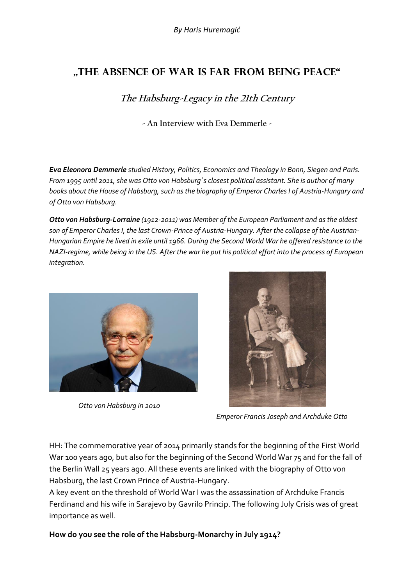# **"The absence of war is far from being peace"**

**The Habsburg-Legacy in the 21th Century**

**- An Interview with Eva Demmerle -**

*Eva Eleonora Demmerle studied History, Politics, Economics and Theology in Bonn, Siegen and Paris. From 1995 until 2011, she was Otto von Habsburg´s closest political assistant. She is author of many*  books about the House of Habsburg, such as the biography of Emperor Charles I of Austria-Hungary and *of Otto von Habsburg.* 

*Otto von Habsburg-Lorraine (1912-2011) was Member of the European Parliament and as the oldest son of Emperor Charles I, the last Crown-Prince of Austria-Hungary. After the collapse of the Austrian-Hungarian Empire he lived in exile until 1966. During the Second World War he offered resistance to the NAZI-regime, while being in the US. After the war he put his political effort into the process of European integration.*



 *Otto von Habsburg in 2010* 



 *Emperor Francis Joseph and Archduke Otto*

HH: The commemorative year of 2014 primarily stands for the beginning of the First World War 100 years ago, but also for the beginning of the Second World War 75 and for the fall of the Berlin Wall 25 years ago. All these events are linked with the biography of Otto von Habsburg, the last Crown Prince of Austria-Hungary.

A key event on the threshold of World War I was the assassination of Archduke Francis Ferdinand and his wife in Sarajevo by Gavrilo Princip. The following July Crisis was of great importance as well.

**How do you see the role of the Habsburg-Monarchy in July 1914?**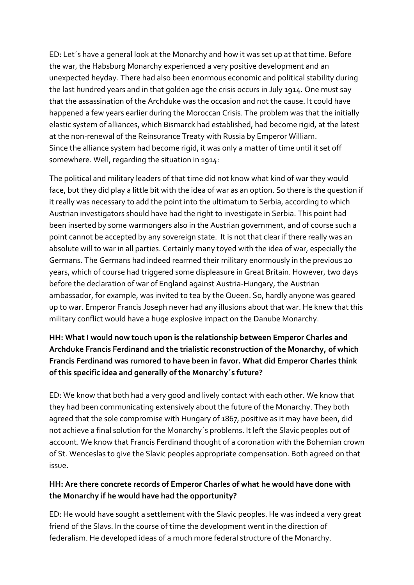ED: Let´s have a general look at the Monarchy and how it was set up at that time. Before the war, the Habsburg Monarchy experienced a very positive development and an unexpected heyday. There had also been enormous economic and political stability during the last hundred years and in that golden age the crisis occurs in July 1914. One must say that the assassination of the Archduke was the occasion and not the cause. It could have happened a few years earlier during the Moroccan Crisis. The problem was that the initially elastic system of alliances, which Bismarck had established, had become rigid, at the latest at the non-renewal of the Reinsurance Treaty with Russia by Emperor William. Since the alliance system had become rigid, it was only a matter of time until it set off somewhere. Well, regarding the situation in 1914:

The political and military leaders of that time did not know what kind of war they would face, but they did play a little bit with the idea of war as an option. So there is the question if it really was necessary to add the point into the ultimatum to Serbia, according to which Austrian investigators should have had the right to investigate in Serbia. This point had been inserted by some warmongers also in the Austrian government, and of course such a point cannot be accepted by any sovereign state. It is not that clear if there really was an absolute will to war in all parties. Certainly many toyed with the idea of war, especially the Germans. The Germans had indeed rearmed their military enormously in the previous 20 years, which of course had triggered some displeasure in Great Britain. However, two days before the declaration of war of England against Austria-Hungary, the Austrian ambassador, for example, was invited to tea by the Queen. So, hardly anyone was geared up to war. Emperor Francis Joseph never had any illusions about that war. He knew that this military conflict would have a huge explosive impact on the Danube Monarchy.

# **HH: What I would now touch upon is the relationship between Emperor Charles and Archduke Francis Ferdinand and the trialistic reconstruction of the Monarchy, of which Francis Ferdinand was rumored to have been in favor. What did Emperor Charles think of this specific idea and generally of the Monarchy´s future?**

ED: We know that both had a very good and lively contact with each other. We know that they had been communicating extensively about the future of the Monarchy. They both agreed that the sole compromise with Hungary of 1867, positive as it may have been, did not achieve a final solution for the Monarchy´s problems. It left the Slavic peoples out of account. We know that Francis Ferdinand thought of a coronation with the Bohemian crown of St. Wenceslas to give the Slavic peoples appropriate compensation. Both agreed on that issue.

# **HH: Are there concrete records of Emperor Charles of what he would have done with the Monarchy if he would have had the opportunity?**

ED: He would have sought a settlement with the Slavic peoples. He was indeed a very great friend of the Slavs. In the course of time the development went in the direction of federalism. He developed ideas of a much more federal structure of the Monarchy.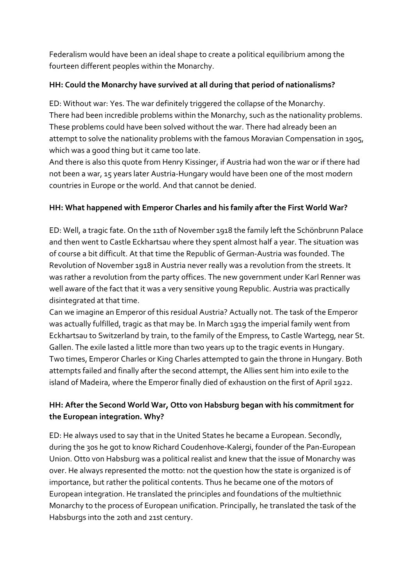Federalism would have been an ideal shape to create a political equilibrium among the fourteen different peoples within the Monarchy.

#### **HH: Could the Monarchy have survived at all during that period of nationalisms?**

ED: Without war: Yes. The war definitely triggered the collapse of the Monarchy. There had been incredible problems within the Monarchy, such as the nationality problems. These problems could have been solved without the war. There had already been an attempt to solve the nationality problems with the famous Moravian Compensation in 1905, which was a good thing but it came too late.

And there is also this quote from Henry Kissinger, if Austria had won the war or if there had not been a war, 15 years later Austria-Hungary would have been one of the most modern countries in Europe or the world. And that cannot be denied.

#### **HH: What happened with Emperor Charles and his family after the First World War?**

ED: Well, a tragic fate. On the 11th of November 1918 the family left the Schönbrunn Palace and then went to Castle Eckhartsau where they spent almost half a year. The situation was of course a bit difficult. At that time the Republic of German-Austria was founded. The Revolution of November 1918 in Austria never really was a revolution from the streets. It was rather a revolution from the party offices. The new government under Karl Renner was well aware of the fact that it was a very sensitive young Republic. Austria was practically disintegrated at that time.

Can we imagine an Emperor of this residual Austria? Actually not. The task of the Emperor was actually fulfilled, tragic as that may be. In March 1919 the imperial family went from Eckhartsau to Switzerland by train, to the family of the Empress, to Castle Wartegg, near St. Gallen. The exile lasted a little more than two years up to the tragic events in Hungary. Two times, Emperor Charles or King Charles attempted to gain the throne in Hungary. Both attempts failed and finally after the second attempt, the Allies sent him into exile to the island of Madeira, where the Emperor finally died of exhaustion on the first of April 1922.

# **HH: After the Second World War, Otto von Habsburg began with his commitment for the European integration. Why?**

ED: He always used to say that in the United States he became a European. Secondly, during the 30s he got to know Richard Coudenhove-Kalergi, founder of the Pan-European Union. Otto von Habsburg was a political realist and knew that the issue of Monarchy was over. He always represented the motto: not the question how the state is organized is of importance, but rather the political contents. Thus he became one of the motors of European integration. He translated the principles and foundations of the multiethnic Monarchy to the process of European unification. Principally, he translated the task of the Habsburgs into the 20th and 21st century.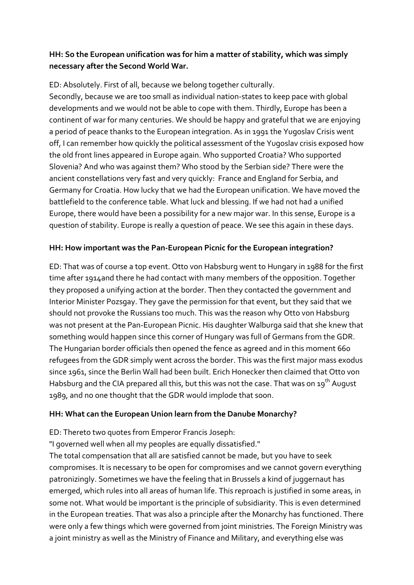## **HH: So the European unification was for him a matter of stability, which was simply necessary after the Second World War.**

ED: Absolutely. First of all, because we belong together culturally. Secondly, because we are too small as individual nation-states to keep pace with global developments and we would not be able to cope with them. Thirdly, Europe has been a continent of war for many centuries. We should be happy and grateful that we are enjoying a period of peace thanks to the European integration. As in 1991 the Yugoslav Crisis went off, I can remember how quickly the political assessment of the Yugoslav crisis exposed how the old front lines appeared in Europe again. Who supported Croatia? Who supported Slovenia? And who was against them? Who stood by the Serbian side? There were the ancient constellations very fast and very quickly: France and England for Serbia, and Germany for Croatia. How lucky that we had the European unification. We have moved the battlefield to the conference table. What luck and blessing. If we had not had a unified Europe, there would have been a possibility for a new major war. In this sense, Europe is a question of stability. Europe is really a question of peace. We see this again in these days.

## **HH: How important was the Pan-European Picnic for the European integration?**

ED: That was of course a top event. Otto von Habsburg went to Hungary in 1988 for the first time after 1914and there he had contact with many members of the opposition. Together they proposed a unifying action at the border. Then they contacted the government and Interior Minister Pozsgay. They gave the permission for that event, but they said that we should not provoke the Russians too much. This was the reason why Otto von Habsburg was not present at the Pan-European Picnic. His daughter Walburga said that she knew that something would happen since this corner of Hungary was full of Germans from the GDR. The Hungarian border officials then opened the fence as agreed and in this moment 660 refugees from the GDR simply went across the border. This was the first major mass exodus since 1961, since the Berlin Wall had been built. Erich Honecker then claimed that Otto von Habsburg and the CIA prepared all this, but this was not the case. That was on 19<sup>th</sup> August 1989, and no one thought that the GDR would implode that soon.

## **HH: What can the European Union learn from the Danube Monarchy?**

ED: Thereto two quotes from Emperor Francis Joseph:

"I governed well when all my peoples are equally dissatisfied."

The total compensation that all are satisfied cannot be made, but you have to seek compromises. It is necessary to be open for compromises and we cannot govern everything patronizingly. Sometimes we have the feeling that in Brussels a kind of juggernaut has emerged, which rules into all areas of human life. This reproach is justified in some areas, in some not. What would be important is the principle of subsidiarity. This is even determined in the European treaties. That was also a principle after the Monarchy has functioned. There were only a few things which were governed from joint ministries. The Foreign Ministry was a joint ministry as well as the Ministry of Finance and Military, and everything else was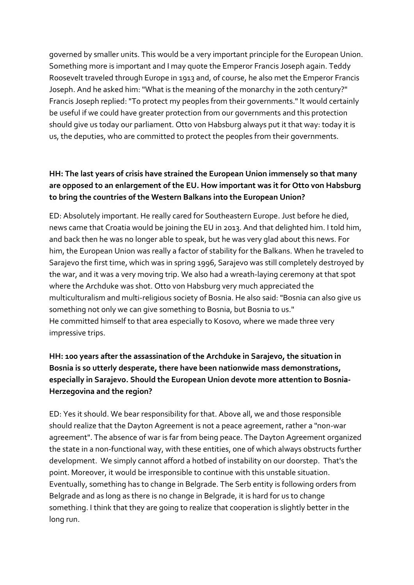governed by smaller units. This would be a very important principle for the European Union. Something more is important and I may quote the Emperor Francis Joseph again. Teddy Roosevelt traveled through Europe in 1913 and, of course, he also met the Emperor Francis Joseph. And he asked him: "What is the meaning of the monarchy in the 20th century?" Francis Joseph replied: "To protect my peoples from their governments." It would certainly be useful if we could have greater protection from our governments and this protection should give us today our parliament. Otto von Habsburg always put it that way: today it is us, the deputies, who are committed to protect the peoples from their governments.

# **HH: The last years of crisis have strained the European Union immensely so that many are opposed to an enlargement of the EU. How important was it for Otto von Habsburg to bring the countries of the Western Balkans into the European Union?**

ED: Absolutely important. He really cared for Southeastern Europe. Just before he died, news came that Croatia would be joining the EU in 2013. And that delighted him. I told him, and back then he was no longer able to speak, but he was very glad about this news. For him, the European Union was really a factor of stability for the Balkans. When he traveled to Sarajevo the first time, which was in spring 1996, Sarajevo was still completely destroyed by the war, and it was a very moving trip. We also had a wreath-laying ceremony at that spot where the Archduke was shot. Otto von Habsburg very much appreciated the multiculturalism and multi-religious society of Bosnia. He also said: "Bosnia can also give us something not only we can give something to Bosnia, but Bosnia to us." He committed himself to that area especially to Kosovo, where we made three very impressive trips.

# **HH: 100 years after the assassination of the Archduke in Sarajevo, the situation in Bosnia is so utterly desperate, there have been nationwide mass demonstrations, especially in Sarajevo. Should the European Union devote more attention to Bosnia-Herzegovina and the region?**

ED: Yes it should. We bear responsibility for that. Above all, we and those responsible should realize that the Dayton Agreement is not a peace agreement, rather a "non-war agreement". The absence of war is far from being peace. The Dayton Agreement organized the state in a non-functional way, with these entities, one of which always obstructs further development. We simply cannot afford a hotbed of instability on our doorstep. That's the point. Moreover, it would be irresponsible to continue with this unstable situation. Eventually, something has to change in Belgrade. The Serb entity is following orders from Belgrade and as long as there is no change in Belgrade, it is hard for us to change something. I think that they are going to realize that cooperation is slightly better in the long run.